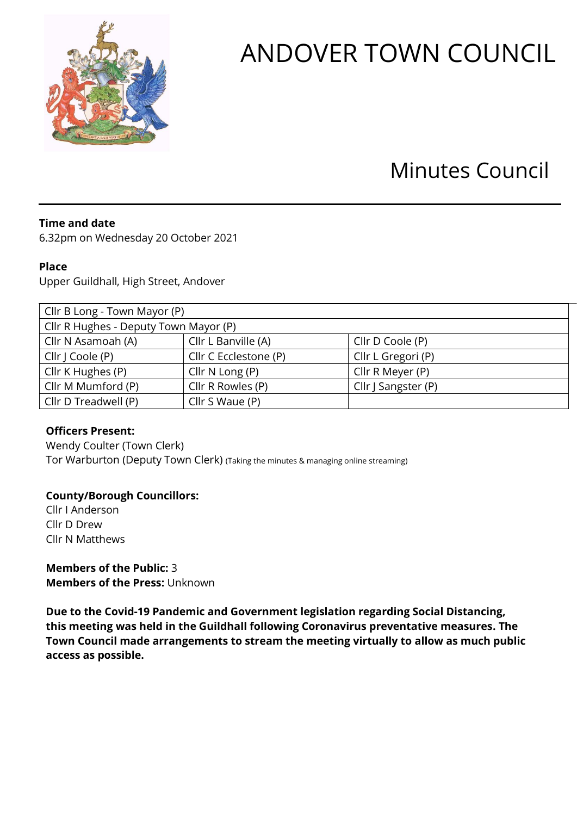

# ANDOVER TOWN COUNCIL

# Minutes Council

#### **Time and date**

6.32pm on Wednesday 20 October 2021

#### **Place**

Upper Guildhall, High Street, Andover

| Cllr B Long - Town Mayor (P)          |                       |                     |  |  |
|---------------------------------------|-----------------------|---------------------|--|--|
| Cllr R Hughes - Deputy Town Mayor (P) |                       |                     |  |  |
| Cllr N Asamoah (A)                    | Cllr L Banville (A)   | Cllr D Coole (P)    |  |  |
| Cllr   Coole (P)                      | Cllr C Ecclestone (P) | Cllr L Gregori (P)  |  |  |
| Cllr K Hughes (P)                     | Cllr $N$ Long $(P)$   | Cllr R Meyer (P)    |  |  |
| Cllr M Mumford (P)                    | Cllr R Rowles (P)     | Cllr   Sangster (P) |  |  |
| Cllr D Treadwell (P)                  | Cllr S Waue (P)       |                     |  |  |

#### **Officers Present:**

Wendy Coulter (Town Clerk) Tor Warburton (Deputy Town Clerk) (Taking the minutes & managing online streaming)

#### **County/Borough Councillors:**

Cllr I Anderson Cllr D Drew Cllr N Matthews

**Members of the Public:** 3 **Members of the Press:** Unknown

**Due to the Covid-19 Pandemic and Government legislation regarding Social Distancing, this meeting was held in the Guildhall following Coronavirus preventative measures. The Town Council made arrangements to stream the meeting virtually to allow as much public access as possible.**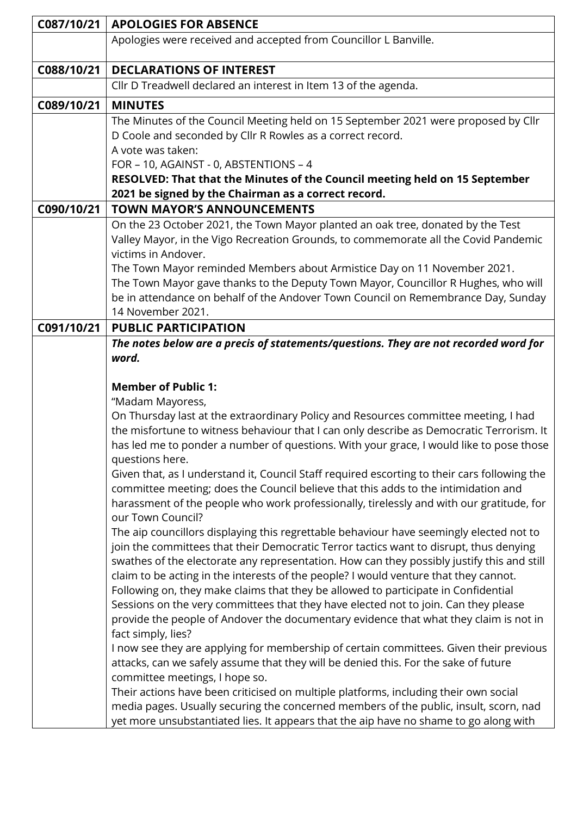| C087/10/21 | <b>APOLOGIES FOR ABSENCE</b>                                                                                                                                                                                                                                                                                                                                                                                                                                                                                                                                                                                                                                                                                                                                                                                                                                                                                                                                                                                                                                                                                                                                                                                                                                                                    |  |  |
|------------|-------------------------------------------------------------------------------------------------------------------------------------------------------------------------------------------------------------------------------------------------------------------------------------------------------------------------------------------------------------------------------------------------------------------------------------------------------------------------------------------------------------------------------------------------------------------------------------------------------------------------------------------------------------------------------------------------------------------------------------------------------------------------------------------------------------------------------------------------------------------------------------------------------------------------------------------------------------------------------------------------------------------------------------------------------------------------------------------------------------------------------------------------------------------------------------------------------------------------------------------------------------------------------------------------|--|--|
|            | Apologies were received and accepted from Councillor L Banville.                                                                                                                                                                                                                                                                                                                                                                                                                                                                                                                                                                                                                                                                                                                                                                                                                                                                                                                                                                                                                                                                                                                                                                                                                                |  |  |
| C088/10/21 | <b>DECLARATIONS OF INTEREST</b>                                                                                                                                                                                                                                                                                                                                                                                                                                                                                                                                                                                                                                                                                                                                                                                                                                                                                                                                                                                                                                                                                                                                                                                                                                                                 |  |  |
|            | Cllr D Treadwell declared an interest in Item 13 of the agenda.                                                                                                                                                                                                                                                                                                                                                                                                                                                                                                                                                                                                                                                                                                                                                                                                                                                                                                                                                                                                                                                                                                                                                                                                                                 |  |  |
| C089/10/21 | <b>MINUTES</b>                                                                                                                                                                                                                                                                                                                                                                                                                                                                                                                                                                                                                                                                                                                                                                                                                                                                                                                                                                                                                                                                                                                                                                                                                                                                                  |  |  |
|            | The Minutes of the Council Meeting held on 15 September 2021 were proposed by Cllr<br>D Coole and seconded by Cllr R Rowles as a correct record.<br>A vote was taken:<br>FOR - 10, AGAINST - 0, ABSTENTIONS - 4<br>RESOLVED: That that the Minutes of the Council meeting held on 15 September<br>2021 be signed by the Chairman as a correct record.                                                                                                                                                                                                                                                                                                                                                                                                                                                                                                                                                                                                                                                                                                                                                                                                                                                                                                                                           |  |  |
| C090/10/21 | <b>TOWN MAYOR'S ANNOUNCEMENTS</b>                                                                                                                                                                                                                                                                                                                                                                                                                                                                                                                                                                                                                                                                                                                                                                                                                                                                                                                                                                                                                                                                                                                                                                                                                                                               |  |  |
|            | On the 23 October 2021, the Town Mayor planted an oak tree, donated by the Test<br>Valley Mayor, in the Vigo Recreation Grounds, to commemorate all the Covid Pandemic<br>victims in Andover.<br>The Town Mayor reminded Members about Armistice Day on 11 November 2021.<br>The Town Mayor gave thanks to the Deputy Town Mayor, Councillor R Hughes, who will<br>be in attendance on behalf of the Andover Town Council on Remembrance Day, Sunday<br>14 November 2021.                                                                                                                                                                                                                                                                                                                                                                                                                                                                                                                                                                                                                                                                                                                                                                                                                       |  |  |
| C091/10/21 | <b>PUBLIC PARTICIPATION</b>                                                                                                                                                                                                                                                                                                                                                                                                                                                                                                                                                                                                                                                                                                                                                                                                                                                                                                                                                                                                                                                                                                                                                                                                                                                                     |  |  |
|            | The notes below are a precis of statements/questions. They are not recorded word for<br>word.<br><b>Member of Public 1:</b>                                                                                                                                                                                                                                                                                                                                                                                                                                                                                                                                                                                                                                                                                                                                                                                                                                                                                                                                                                                                                                                                                                                                                                     |  |  |
|            | "Madam Mayoress,<br>On Thursday last at the extraordinary Policy and Resources committee meeting, I had<br>the misfortune to witness behaviour that I can only describe as Democratic Terrorism. It<br>has led me to ponder a number of questions. With your grace, I would like to pose those<br>questions here.<br>Given that, as I understand it, Council Staff required escorting to their cars following the<br>committee meeting; does the Council believe that this adds to the intimidation and<br>harassment of the people who work professionally, tirelessly and with our gratitude, for<br>our Town Council?<br>The aip councillors displaying this regrettable behaviour have seemingly elected not to<br>join the committees that their Democratic Terror tactics want to disrupt, thus denying<br>swathes of the electorate any representation. How can they possibly justify this and still<br>claim to be acting in the interests of the people? I would venture that they cannot.<br>Following on, they make claims that they be allowed to participate in Confidential<br>Sessions on the very committees that they have elected not to join. Can they please<br>provide the people of Andover the documentary evidence that what they claim is not in<br>fact simply, lies? |  |  |
|            | I now see they are applying for membership of certain committees. Given their previous<br>attacks, can we safely assume that they will be denied this. For the sake of future<br>committee meetings, I hope so.<br>Their actions have been criticised on multiple platforms, including their own social<br>media pages. Usually securing the concerned members of the public, insult, scorn, nad<br>yet more unsubstantiated lies. It appears that the aip have no shame to go along with                                                                                                                                                                                                                                                                                                                                                                                                                                                                                                                                                                                                                                                                                                                                                                                                       |  |  |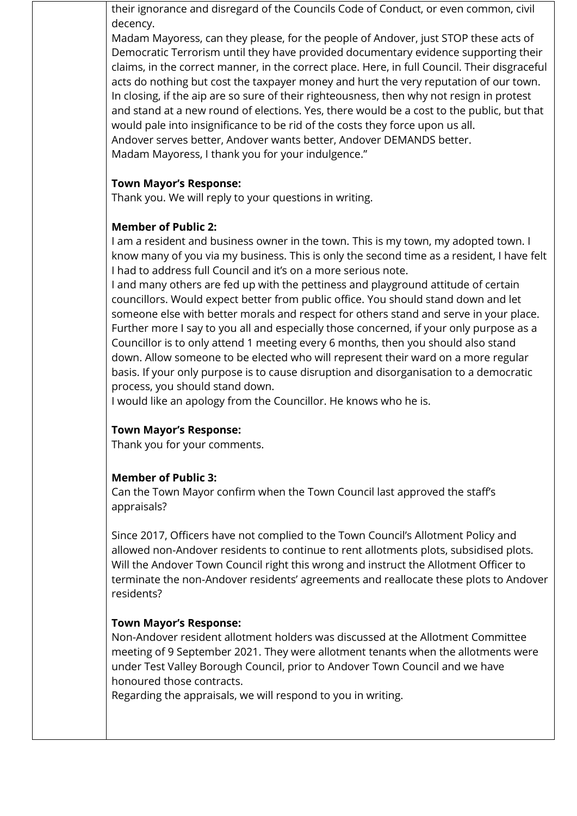their ignorance and disregard of the Councils Code of Conduct, or even common, civil decency.

Madam Mayoress, can they please, for the people of Andover, just STOP these acts of Democratic Terrorism until they have provided documentary evidence supporting their claims, in the correct manner, in the correct place. Here, in full Council. Their disgraceful acts do nothing but cost the taxpayer money and hurt the very reputation of our town. In closing, if the aip are so sure of their righteousness, then why not resign in protest and stand at a new round of elections. Yes, there would be a cost to the public, but that would pale into insignificance to be rid of the costs they force upon us all. Andover serves better, Andover wants better, Andover DEMANDS better. Madam Mayoress, I thank you for your indulgence."

#### **Town Mayor's Response:**

Thank you. We will reply to your questions in writing.

#### **Member of Public 2:**

I am a resident and business owner in the town. This is my town, my adopted town. I know many of you via my business. This is only the second time as a resident, I have felt I had to address full Council and it's on a more serious note.

I and many others are fed up with the pettiness and playground attitude of certain councillors. Would expect better from public office. You should stand down and let someone else with better morals and respect for others stand and serve in your place. Further more I say to you all and especially those concerned, if your only purpose as a Councillor is to only attend 1 meeting every 6 months, then you should also stand down. Allow someone to be elected who will represent their ward on a more regular basis. If your only purpose is to cause disruption and disorganisation to a democratic process, you should stand down.

I would like an apology from the Councillor. He knows who he is.

#### **Town Mayor's Response:**

Thank you for your comments.

#### **Member of Public 3:**

Can the Town Mayor confirm when the Town Council last approved the staff's appraisals?

Since 2017, Officers have not complied to the Town Council's Allotment Policy and allowed non-Andover residents to continue to rent allotments plots, subsidised plots. Will the Andover Town Council right this wrong and instruct the Allotment Officer to terminate the non-Andover residents' agreements and reallocate these plots to Andover residents?

#### **Town Mayor's Response:**

Non-Andover resident allotment holders was discussed at the Allotment Committee meeting of 9 September 2021. They were allotment tenants when the allotments were under Test Valley Borough Council, prior to Andover Town Council and we have honoured those contracts.

Regarding the appraisals, we will respond to you in writing.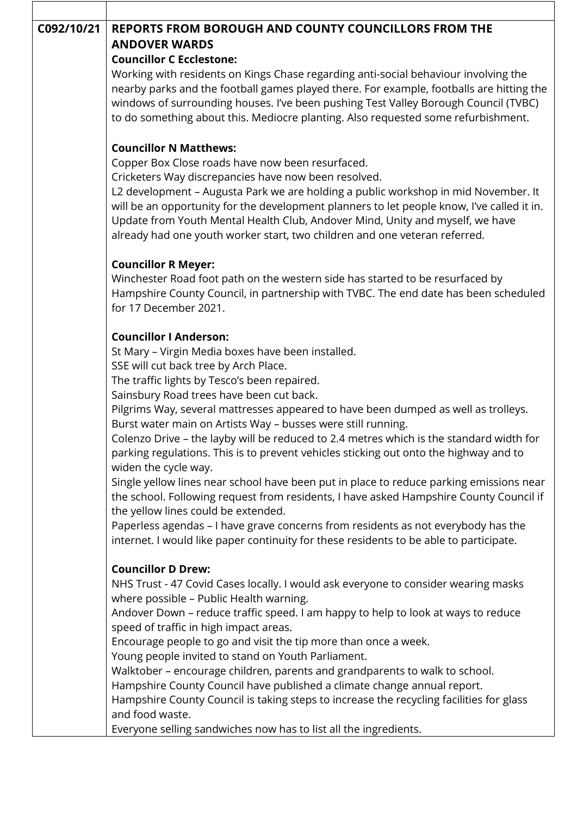# **C092/10/21 REPORTS FROM BOROUGH AND COUNTY COUNCILLORS FROM THE ANDOVER WARDS**

# **Councillor C Ecclestone:**

Working with residents on Kings Chase regarding anti-social behaviour involving the nearby parks and the football games played there. For example, footballs are hitting the windows of surrounding houses. I've been pushing Test Valley Borough Council (TVBC) to do something about this. Mediocre planting. Also requested some refurbishment.

# **Councillor N Matthews:**

Copper Box Close roads have now been resurfaced.

Cricketers Way discrepancies have now been resolved.

L2 development – Augusta Park we are holding a public workshop in mid November. It will be an opportunity for the development planners to let people know, I've called it in. Update from Youth Mental Health Club, Andover Mind, Unity and myself, we have already had one youth worker start, two children and one veteran referred.

### **Councillor R Meyer:**

Winchester Road foot path on the western side has started to be resurfaced by Hampshire County Council, in partnership with TVBC. The end date has been scheduled for 17 December 2021.

# **Councillor I Anderson:**

St Mary – Virgin Media boxes have been installed.

SSE will cut back tree by Arch Place.

The traffic lights by Tesco's been repaired.

Sainsbury Road trees have been cut back.

Pilgrims Way, several mattresses appeared to have been dumped as well as trolleys. Burst water main on Artists Way – busses were still running.

Colenzo Drive – the layby will be reduced to 2.4 metres which is the standard width for parking regulations. This is to prevent vehicles sticking out onto the highway and to widen the cycle way.

Single yellow lines near school have been put in place to reduce parking emissions near the school. Following request from residents, I have asked Hampshire County Council if the yellow lines could be extended.

Paperless agendas – I have grave concerns from residents as not everybody has the internet. I would like paper continuity for these residents to be able to participate.

# **Councillor D Drew:**

NHS Trust - 47 Covid Cases locally. I would ask everyone to consider wearing masks where possible – Public Health warning.

Andover Down – reduce traffic speed. I am happy to help to look at ways to reduce speed of traffic in high impact areas.

Encourage people to go and visit the tip more than once a week.

Young people invited to stand on Youth Parliament.

Walktober – encourage children, parents and grandparents to walk to school.

Hampshire County Council have published a climate change annual report.

Hampshire County Council is taking steps to increase the recycling facilities for glass and food waste.

Everyone selling sandwiches now has to list all the ingredients.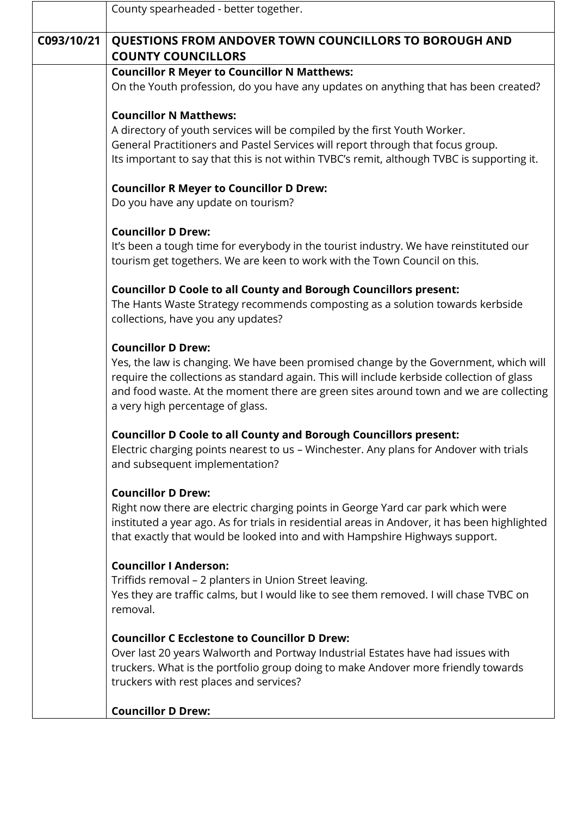|            | County spearheaded - better together.                                                                                                                                                                                                                                                                                                       |
|------------|---------------------------------------------------------------------------------------------------------------------------------------------------------------------------------------------------------------------------------------------------------------------------------------------------------------------------------------------|
| C093/10/21 | QUESTIONS FROM ANDOVER TOWN COUNCILLORS TO BOROUGH AND<br><b>COUNTY COUNCILLORS</b>                                                                                                                                                                                                                                                         |
|            | <b>Councillor R Meyer to Councillor N Matthews:</b>                                                                                                                                                                                                                                                                                         |
|            | On the Youth profession, do you have any updates on anything that has been created?                                                                                                                                                                                                                                                         |
|            | <b>Councillor N Matthews:</b>                                                                                                                                                                                                                                                                                                               |
|            | A directory of youth services will be compiled by the first Youth Worker.<br>General Practitioners and Pastel Services will report through that focus group.<br>Its important to say that this is not within TVBC's remit, although TVBC is supporting it.                                                                                  |
|            | <b>Councillor R Meyer to Councillor D Drew:</b><br>Do you have any update on tourism?                                                                                                                                                                                                                                                       |
|            |                                                                                                                                                                                                                                                                                                                                             |
|            | <b>Councillor D Drew:</b><br>It's been a tough time for everybody in the tourist industry. We have reinstituted our<br>tourism get togethers. We are keen to work with the Town Council on this.                                                                                                                                            |
|            | <b>Councillor D Coole to all County and Borough Councillors present:</b><br>The Hants Waste Strategy recommends composting as a solution towards kerbside<br>collections, have you any updates?                                                                                                                                             |
|            | <b>Councillor D Drew:</b><br>Yes, the law is changing. We have been promised change by the Government, which will<br>require the collections as standard again. This will include kerbside collection of glass<br>and food waste. At the moment there are green sites around town and we are collecting<br>a very high percentage of glass. |
|            | <b>Councillor D Coole to all County and Borough Councillors present:</b><br>Electric charging points nearest to us - Winchester. Any plans for Andover with trials<br>and subsequent implementation?                                                                                                                                        |
|            | <b>Councillor D Drew:</b><br>Right now there are electric charging points in George Yard car park which were<br>instituted a year ago. As for trials in residential areas in Andover, it has been highlighted<br>that exactly that would be looked into and with Hampshire Highways support.                                                |
|            | <b>Councillor I Anderson:</b><br>Triffids removal - 2 planters in Union Street leaving.<br>Yes they are traffic calms, but I would like to see them removed. I will chase TVBC on<br>removal.                                                                                                                                               |
|            | <b>Councillor C Ecclestone to Councillor D Drew:</b><br>Over last 20 years Walworth and Portway Industrial Estates have had issues with<br>truckers. What is the portfolio group doing to make Andover more friendly towards<br>truckers with rest places and services?                                                                     |
|            | <b>Councillor D Drew:</b>                                                                                                                                                                                                                                                                                                                   |
|            |                                                                                                                                                                                                                                                                                                                                             |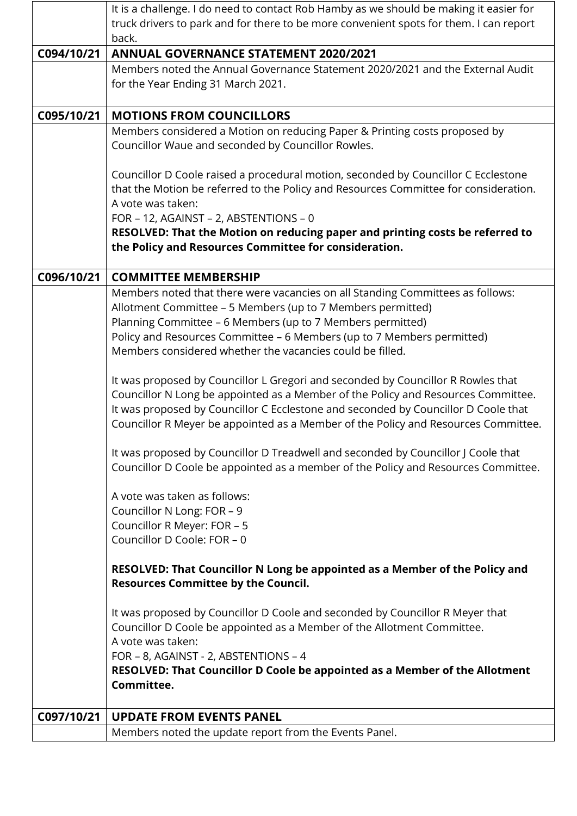|            | It is a challenge. I do need to contact Rob Hamby as we should be making it easier for                                                                                                                                                                                                                                                            |
|------------|---------------------------------------------------------------------------------------------------------------------------------------------------------------------------------------------------------------------------------------------------------------------------------------------------------------------------------------------------|
|            | truck drivers to park and for there to be more convenient spots for them. I can report                                                                                                                                                                                                                                                            |
|            | back.                                                                                                                                                                                                                                                                                                                                             |
| C094/10/21 | <b>ANNUAL GOVERNANCE STATEMENT 2020/2021</b>                                                                                                                                                                                                                                                                                                      |
|            | Members noted the Annual Governance Statement 2020/2021 and the External Audit                                                                                                                                                                                                                                                                    |
|            | for the Year Ending 31 March 2021.                                                                                                                                                                                                                                                                                                                |
|            |                                                                                                                                                                                                                                                                                                                                                   |
| C095/10/21 | <b>MOTIONS FROM COUNCILLORS</b>                                                                                                                                                                                                                                                                                                                   |
|            | Members considered a Motion on reducing Paper & Printing costs proposed by<br>Councillor Waue and seconded by Councillor Rowles.                                                                                                                                                                                                                  |
|            | Councillor D Coole raised a procedural motion, seconded by Councillor C Ecclestone<br>that the Motion be referred to the Policy and Resources Committee for consideration.<br>A vote was taken:<br>FOR - 12, AGAINST - 2, ABSTENTIONS - 0<br>RESOLVED: That the Motion on reducing paper and printing costs be referred to                        |
|            | the Policy and Resources Committee for consideration.                                                                                                                                                                                                                                                                                             |
| C096/10/21 | <b>COMMITTEE MEMBERSHIP</b>                                                                                                                                                                                                                                                                                                                       |
|            | Members noted that there were vacancies on all Standing Committees as follows:                                                                                                                                                                                                                                                                    |
|            | Allotment Committee - 5 Members (up to 7 Members permitted)                                                                                                                                                                                                                                                                                       |
|            | Planning Committee - 6 Members (up to 7 Members permitted)                                                                                                                                                                                                                                                                                        |
|            | Policy and Resources Committee - 6 Members (up to 7 Members permitted)                                                                                                                                                                                                                                                                            |
|            | Members considered whether the vacancies could be filled.                                                                                                                                                                                                                                                                                         |
|            | It was proposed by Councillor L Gregori and seconded by Councillor R Rowles that<br>Councillor N Long be appointed as a Member of the Policy and Resources Committee.<br>It was proposed by Councillor C Ecclestone and seconded by Councillor D Coole that<br>Councillor R Meyer be appointed as a Member of the Policy and Resources Committee. |
|            | It was proposed by Councillor D Treadwell and seconded by Councillor J Coole that<br>Councillor D Coole be appointed as a member of the Policy and Resources Committee.                                                                                                                                                                           |
|            | A vote was taken as follows:                                                                                                                                                                                                                                                                                                                      |
|            | Councillor N Long: FOR - 9                                                                                                                                                                                                                                                                                                                        |
|            | Councillor R Meyer: FOR - 5                                                                                                                                                                                                                                                                                                                       |
|            | Councillor D Coole: FOR - 0                                                                                                                                                                                                                                                                                                                       |
|            | RESOLVED: That Councillor N Long be appointed as a Member of the Policy and<br><b>Resources Committee by the Council.</b>                                                                                                                                                                                                                         |
|            | It was proposed by Councillor D Coole and seconded by Councillor R Meyer that<br>Councillor D Coole be appointed as a Member of the Allotment Committee.<br>A vote was taken:                                                                                                                                                                     |
|            | FOR - 8, AGAINST - 2, ABSTENTIONS - 4                                                                                                                                                                                                                                                                                                             |
|            | RESOLVED: That Councillor D Coole be appointed as a Member of the Allotment<br>Committee.                                                                                                                                                                                                                                                         |
|            |                                                                                                                                                                                                                                                                                                                                                   |
| C097/10/21 | <b>UPDATE FROM EVENTS PANEL</b>                                                                                                                                                                                                                                                                                                                   |
|            | Members noted the update report from the Events Panel.                                                                                                                                                                                                                                                                                            |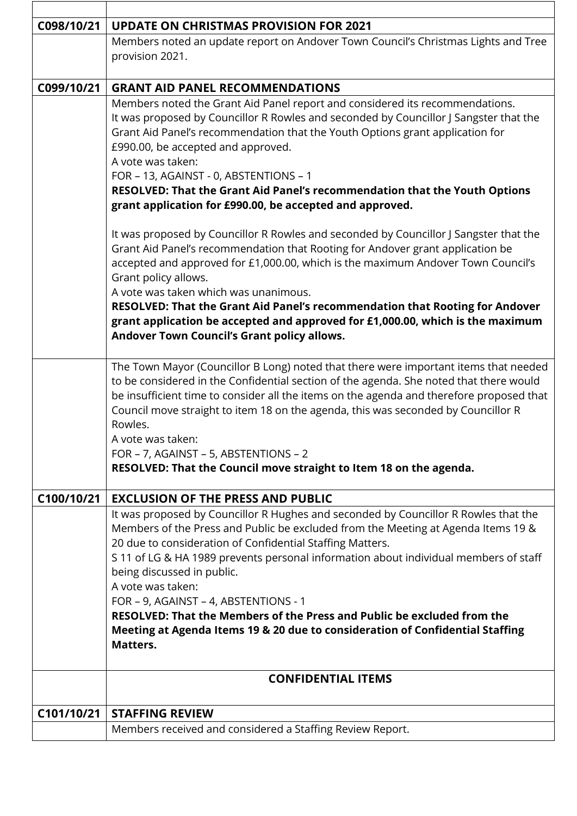| C098/10/21 | <b>UPDATE ON CHRISTMAS PROVISION FOR 2021</b>                                                                                                                                                                                                                                                                                                                                                                                                                                                  |
|------------|------------------------------------------------------------------------------------------------------------------------------------------------------------------------------------------------------------------------------------------------------------------------------------------------------------------------------------------------------------------------------------------------------------------------------------------------------------------------------------------------|
|            | Members noted an update report on Andover Town Council's Christmas Lights and Tree                                                                                                                                                                                                                                                                                                                                                                                                             |
|            | provision 2021.                                                                                                                                                                                                                                                                                                                                                                                                                                                                                |
| C099/10/21 | <b>GRANT AID PANEL RECOMMENDATIONS</b>                                                                                                                                                                                                                                                                                                                                                                                                                                                         |
|            | Members noted the Grant Aid Panel report and considered its recommendations.<br>It was proposed by Councillor R Rowles and seconded by Councillor J Sangster that the<br>Grant Aid Panel's recommendation that the Youth Options grant application for<br>£990.00, be accepted and approved.<br>A vote was taken:<br>FOR - 13, AGAINST - 0, ABSTENTIONS - 1                                                                                                                                    |
|            | RESOLVED: That the Grant Aid Panel's recommendation that the Youth Options<br>grant application for £990.00, be accepted and approved.                                                                                                                                                                                                                                                                                                                                                         |
|            | It was proposed by Councillor R Rowles and seconded by Councillor J Sangster that the<br>Grant Aid Panel's recommendation that Rooting for Andover grant application be<br>accepted and approved for £1,000.00, which is the maximum Andover Town Council's<br>Grant policy allows.<br>A vote was taken which was unanimous.<br>RESOLVED: That the Grant Aid Panel's recommendation that Rooting for Andover<br>grant application be accepted and approved for £1,000.00, which is the maximum |
|            | Andover Town Council's Grant policy allows.<br>The Town Mayor (Councillor B Long) noted that there were important items that needed                                                                                                                                                                                                                                                                                                                                                            |
|            | to be considered in the Confidential section of the agenda. She noted that there would<br>be insufficient time to consider all the items on the agenda and therefore proposed that<br>Council move straight to item 18 on the agenda, this was seconded by Councillor R<br>Rowles.<br>A vote was taken:                                                                                                                                                                                        |
|            | FOR - 7, AGAINST - 5, ABSTENTIONS - 2                                                                                                                                                                                                                                                                                                                                                                                                                                                          |
|            | RESOLVED: That the Council move straight to Item 18 on the agenda.                                                                                                                                                                                                                                                                                                                                                                                                                             |
| C100/10/21 | <b>EXCLUSION OF THE PRESS AND PUBLIC</b>                                                                                                                                                                                                                                                                                                                                                                                                                                                       |
|            | It was proposed by Councillor R Hughes and seconded by Councillor R Rowles that the<br>Members of the Press and Public be excluded from the Meeting at Agenda Items 19 &<br>20 due to consideration of Confidential Staffing Matters.<br>S 11 of LG & HA 1989 prevents personal information about individual members of staff                                                                                                                                                                  |
|            | being discussed in public.<br>A vote was taken:                                                                                                                                                                                                                                                                                                                                                                                                                                                |
|            | FOR - 9, AGAINST - 4, ABSTENTIONS - 1<br>RESOLVED: That the Members of the Press and Public be excluded from the<br>Meeting at Agenda Items 19 & 20 due to consideration of Confidential Staffing<br>Matters.                                                                                                                                                                                                                                                                                  |
|            | <b>CONFIDENTIAL ITEMS</b>                                                                                                                                                                                                                                                                                                                                                                                                                                                                      |
| C101/10/21 | <b>STAFFING REVIEW</b>                                                                                                                                                                                                                                                                                                                                                                                                                                                                         |
|            | Members received and considered a Staffing Review Report.                                                                                                                                                                                                                                                                                                                                                                                                                                      |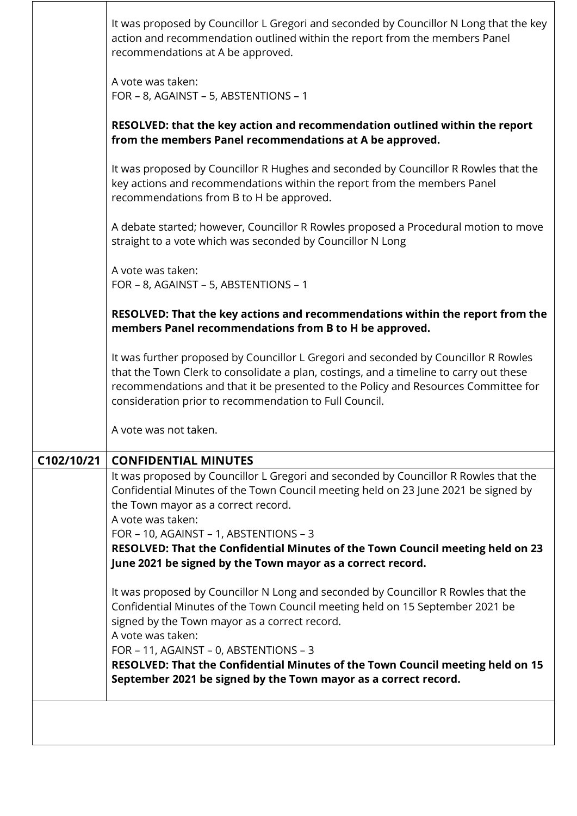|            | It was proposed by Councillor L Gregori and seconded by Councillor N Long that the key<br>action and recommendation outlined within the report from the members Panel<br>recommendations at A be approved.                                                                                                                    |  |  |  |  |
|------------|-------------------------------------------------------------------------------------------------------------------------------------------------------------------------------------------------------------------------------------------------------------------------------------------------------------------------------|--|--|--|--|
|            | A vote was taken:<br>FOR - 8, AGAINST - 5, ABSTENTIONS - 1                                                                                                                                                                                                                                                                    |  |  |  |  |
|            | RESOLVED: that the key action and recommendation outlined within the report<br>from the members Panel recommendations at A be approved.                                                                                                                                                                                       |  |  |  |  |
|            | It was proposed by Councillor R Hughes and seconded by Councillor R Rowles that the<br>key actions and recommendations within the report from the members Panel<br>recommendations from B to H be approved.                                                                                                                   |  |  |  |  |
|            | A debate started; however, Councillor R Rowles proposed a Procedural motion to move<br>straight to a vote which was seconded by Councillor N Long                                                                                                                                                                             |  |  |  |  |
|            | A vote was taken:<br>FOR - 8, AGAINST - 5, ABSTENTIONS - 1                                                                                                                                                                                                                                                                    |  |  |  |  |
|            | RESOLVED: That the key actions and recommendations within the report from the<br>members Panel recommendations from B to H be approved.                                                                                                                                                                                       |  |  |  |  |
|            | It was further proposed by Councillor L Gregori and seconded by Councillor R Rowles<br>that the Town Clerk to consolidate a plan, costings, and a timeline to carry out these<br>recommendations and that it be presented to the Policy and Resources Committee for<br>consideration prior to recommendation to Full Council. |  |  |  |  |
|            | A vote was not taken.                                                                                                                                                                                                                                                                                                         |  |  |  |  |
| C102/10/21 | <b>CONFIDENTIAL MINUTES</b>                                                                                                                                                                                                                                                                                                   |  |  |  |  |
|            | It was proposed by Councillor L Gregori and seconded by Councillor R Rowles that the<br>Confidential Minutes of the Town Council meeting held on 23 June 2021 be signed by<br>the Town mayor as a correct record.<br>A vote was taken:<br>FOR - 10, AGAINST - 1, ABSTENTIONS - 3                                              |  |  |  |  |
|            | RESOLVED: That the Confidential Minutes of the Town Council meeting held on 23                                                                                                                                                                                                                                                |  |  |  |  |
|            | June 2021 be signed by the Town mayor as a correct record.                                                                                                                                                                                                                                                                    |  |  |  |  |
|            | It was proposed by Councillor N Long and seconded by Councillor R Rowles that the<br>Confidential Minutes of the Town Council meeting held on 15 September 2021 be<br>signed by the Town mayor as a correct record.<br>A vote was taken:                                                                                      |  |  |  |  |
|            | FOR - 11, AGAINST - 0, ABSTENTIONS - 3                                                                                                                                                                                                                                                                                        |  |  |  |  |
|            | RESOLVED: That the Confidential Minutes of the Town Council meeting held on 15<br>September 2021 be signed by the Town mayor as a correct record.                                                                                                                                                                             |  |  |  |  |
|            |                                                                                                                                                                                                                                                                                                                               |  |  |  |  |

ヿ

 $\overline{\phantom{a}}$